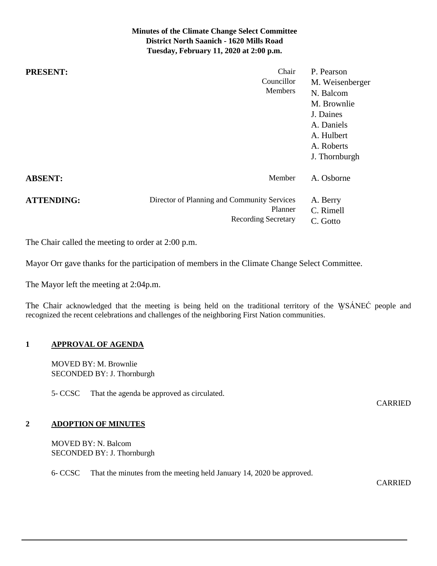## **Minutes of the Climate Change Select Committee District North Saanich - 1620 Mills Road Tuesday, February 11, 2020 at 2:00 p.m.**

| <b>PRESENT:</b>   | Chair<br>Councillor<br><b>Members</b>                                                | P. Pearson<br>M. Weisenberger<br>N. Balcom<br>M. Brownlie<br>J. Daines<br>A. Daniels<br>A. Hulbert<br>A. Roberts |
|-------------------|--------------------------------------------------------------------------------------|------------------------------------------------------------------------------------------------------------------|
|                   |                                                                                      | J. Thornburgh                                                                                                    |
| <b>ABSENT:</b>    | Member                                                                               | A. Osborne                                                                                                       |
| <b>ATTENDING:</b> | Director of Planning and Community Services<br>Planner<br><b>Recording Secretary</b> | A. Berry<br>C. Rimell<br>C. Gotto                                                                                |

The Chair called the meeting to order at 2:00 p.m.

Mayor Orr gave thanks for the participation of members in the Climate Change Select Committee.

The Mayor left the meeting at 2:04p.m.

The Chair acknowledged that the meeting is being held on the traditional territory of the WSÁNEĆ people and recognized the recent celebrations and challenges of the neighboring First Nation communities.

### **1 APPROVAL OF AGENDA**

MOVED BY: M. Brownlie SECONDED BY: J. Thornburgh

5- CCSC That the agenda be approved as circulated.

CARRIED

#### **2 ADOPTION OF MINUTES**

MOVED BY: N. Balcom SECONDED BY: J. Thornburgh

6- CCSC That the minutes from the meeting held January 14, 2020 be approved.

CARRIED